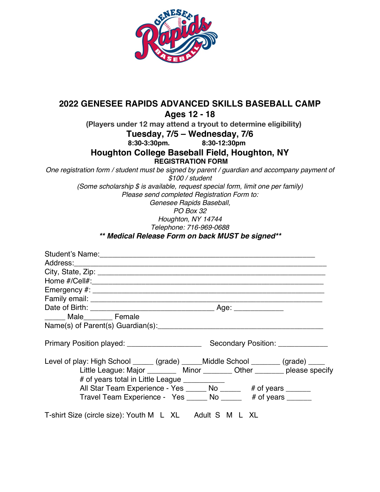

## **2022 GENESEE RAPIDS ADVANCED SKILLS BASEBALL CAMP Ages 12 - 18**

 **(Players under 12 may attend a tryout to determine eligibility)**

**Tuesday, 7/5 – Wednesday, 7/6**

**8:30-3:30pm. 8:30-12:30pm**

**Houghton College Baseball Field, Houghton, NY**

**REGISTRATION FORM**

*One registration form / student must be signed by parent / guardian and accompany payment of*

*\$100 / student*

*(Some scholarship \$ is available, request special form, limit one per family)*

*Please send completed Registration Form to:*

*Genesee Rapids Baseball,*

*PO Box 32*

*Houghton, NY 14744*

*Telephone: 716-969-0688*

*\*\* Medical Release Form on back MUST be signed\*\**

| ______ Male________ Female                                                       |  |  |  |  |  |
|----------------------------------------------------------------------------------|--|--|--|--|--|
|                                                                                  |  |  |  |  |  |
|                                                                                  |  |  |  |  |  |
| Level of play: High School _____ (grade) _____Middle School _______ (grade) ____ |  |  |  |  |  |
| Little League: Major __________ Minor _________ Other ________ please specify    |  |  |  |  |  |
| # of years total in Little League ____________                                   |  |  |  |  |  |
| All Star Team Experience - Yes ______ No ______ # of years ______                |  |  |  |  |  |
| Travel Team Experience - Yes ______ No ______ # of years ______                  |  |  |  |  |  |
| T-shirt Size (circle size): Youth M L XL Adult S M L XL                          |  |  |  |  |  |